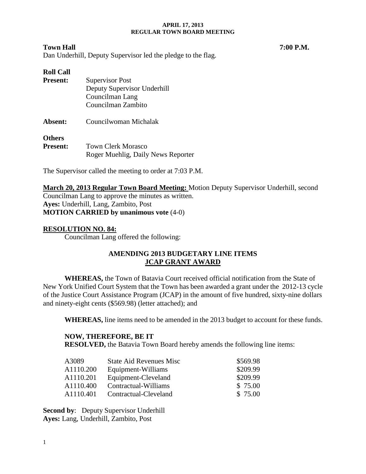# **Town Hall 7:00 P.M.**

Dan Underhill, Deputy Supervisor led the pledge to the flag.

## **Roll Call**

| <b>Present:</b> | <b>Supervisor Post</b>             |
|-----------------|------------------------------------|
|                 | Deputy Supervisor Underhill        |
|                 | Councilman Lang                    |
|                 | Councilman Zambito                 |
| Absent:         | Councilwoman Michalak              |
| <b>Others</b>   |                                    |
| <b>Present:</b> | <b>Town Clerk Morasco</b>          |
|                 | Roger Muehlig, Daily News Reporter |

The Supervisor called the meeting to order at 7:03 P.M.

**March 20, 2013 Regular Town Board Meeting:** Motion Deputy Supervisor Underhill, second Councilman Lang to approve the minutes as written. **Ayes:** Underhill, Lang, Zambito, Post **MOTION CARRIED by unanimous vote** (4-0)

## **RESOLUTION NO. 84:**

Councilman Lang offered the following:

# **AMENDING 2013 BUDGETARY LINE ITEMS JCAP GRANT AWARD**

**WHEREAS,** the Town of Batavia Court received official notification from the State of New York Unified Court System that the Town has been awarded a grant under the 2012-13 cycle of the Justice Court Assistance Program (JCAP) in the amount of five hundred, sixty-nine dollars and ninety-eight cents (\$569.98) (letter attached); and

**WHEREAS,** line items need to be amended in the 2013 budget to account for these funds.

### **NOW, THEREFORE, BE IT**

**RESOLVED,** the Batavia Town Board hereby amends the following line items:

| A3089                 | <b>State Aid Revenues Misc.</b> | \$569.98 |
|-----------------------|---------------------------------|----------|
| A1110.200             | Equipment-Williams              | \$209.99 |
| A1110.201             | Equipment-Cleveland             | \$209.99 |
| A1110.400             | Contractual-Williams            | \$75.00  |
| A <sub>1110.401</sub> | Contractual-Cleveland           | \$75.00  |

**Second by**: Deputy Supervisor Underhill **Ayes:** Lang, Underhill, Zambito, Post

1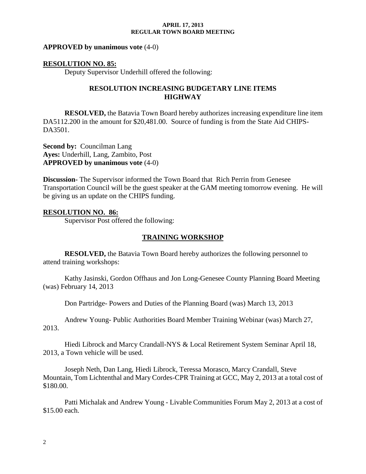#### **APPROVED by unanimous vote** (4-0)

#### **RESOLUTION NO. 85:**

Deputy Supervisor Underhill offered the following:

### **RESOLUTION INCREASING BUDGETARY LINE ITEMS HIGHWAY**

**RESOLVED,** the Batavia Town Board hereby authorizes increasing expenditure line item DA5112.200 in the amount for \$20,481.00. Source of funding is from the State Aid CHIPS-DA3501.

**Second by: Councilman Lang Ayes:** Underhill, Lang, Zambito, Post **APPROVED by unanimous vote** (4-0)

**Discussion-** The Supervisor informed the Town Board that Rich Perrin from Genesee Transportation Council will be the guest speaker at the GAM meeting tomorrow evening. He will be giving us an update on the CHIPS funding.

#### **RESOLUTION NO. 86:**

Supervisor Post offered the following:

### **TRAINING WORKSHOP**

**RESOLVED,** the Batavia Town Board hereby authorizes the following personnel to attend training workshops:

Kathy Jasinski, Gordon Offhaus and Jon Long-Genesee County Planning Board Meeting (was) February 14, 2013

Don Partridge- Powers and Duties of the Planning Board (was) March 13, 2013

Andrew Young- Public Authorities Board Member Training Webinar (was) March 27, 2013.

Hiedi Librock and Marcy Crandall-NYS & Local Retirement System Seminar April 18, 2013, a Town vehicle will be used.

Joseph Neth, Dan Lang, Hiedi Librock, Teressa Morasco, Marcy Crandall, Steve Mountain, Tom Lichtenthal and Mary Cordes-CPR Training at GCC, May 2, 2013 at a total cost of \$180.00.

Patti Michalak and Andrew Young - Livable Communities Forum May 2, 2013 at a cost of \$15.00 each.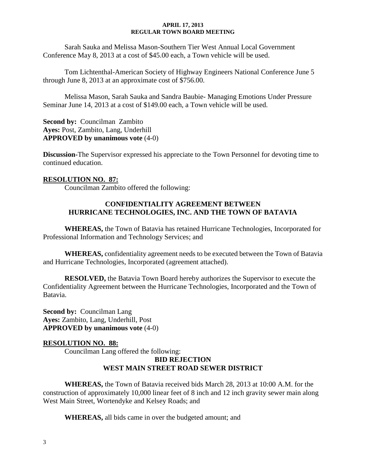Sarah Sauka and Melissa Mason-Southern Tier West Annual Local Government Conference May 8, 2013 at a cost of \$45.00 each, a Town vehicle will be used.

Tom Lichtenthal-American Society of Highway Engineers National Conference June 5 through June 8, 2013 at an approximate cost of \$756.00.

Melissa Mason, Sarah Sauka and Sandra Baubie- Managing Emotions Under Pressure Seminar June 14, 2013 at a cost of \$149.00 each, a Town vehicle will be used.

**Second by:** Councilman Zambito **Ayes:** Post, Zambito, Lang, Underhill **APPROVED by unanimous vote** (4-0)

**Discussion-**The Supervisor expressed his appreciate to the Town Personnel for devoting time to continued education.

# **RESOLUTION NO. 87:**

Councilman Zambito offered the following:

## **CONFIDENTIALITY AGREEMENT BETWEEN HURRICANE TECHNOLOGIES, INC. AND THE TOWN OF BATAVIA**

**WHEREAS,** the Town of Batavia has retained Hurricane Technologies, Incorporated for Professional Information and Technology Services; and

**WHEREAS,** confidentiality agreement needs to be executed between the Town of Batavia and Hurricane Technologies, Incorporated (agreement attached).

**RESOLVED,** the Batavia Town Board hereby authorizes the Supervisor to execute the Confidentiality Agreement between the Hurricane Technologies, Incorporated and the Town of Batavia.

**Second by:** Councilman Lang **Ayes:** Zambito, Lang, Underhill, Post **APPROVED by unanimous vote** (4-0)

### **RESOLUTION NO. 88:**

Councilman Lang offered the following:

# **BID REJECTION WEST MAIN STREET ROAD SEWER DISTRICT**

**WHEREAS,** the Town of Batavia received bids March 28, 2013 at 10:00 A.M. for the construction of approximately 10,000 linear feet of 8 inch and 12 inch gravity sewer main along West Main Street, Wortendyke and Kelsey Roads; and

**WHEREAS,** all bids came in over the budgeted amount; and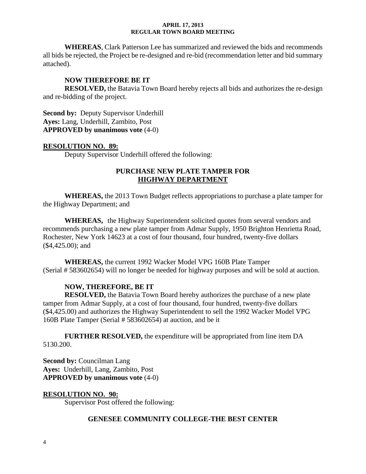**WHEREAS**, Clark Patterson Lee has summarized and reviewed the bids and recommends all bids be rejected, the Project be re-designed and re-bid (recommendation letter and bid summary attached).

## **NOW THEREFORE BE IT**

**RESOLVED,** the Batavia Town Board hereby rejects all bids and authorizes the re-design and re-bidding of the project.

**Second by: Deputy Supervisor Underhill Ayes:** Lang, Underhill, Zambito, Post **APPROVED by unanimous vote** (4-0)

### **RESOLUTION NO. 89:**

Deputy Supervisor Underhill offered the following:

## **PURCHASE NEW PLATE TAMPER FOR HIGHWAY DEPARTMENT**

**WHEREAS,** the 2013 Town Budget reflects appropriations to purchase a plate tamper for the Highway Department; and

**WHEREAS,** the Highway Superintendent solicited quotes from several vendors and recommends purchasing a new plate tamper from Admar Supply, 1950 Brighton Henrietta Road, Rochester, New York 14623 at a cost of four thousand, four hundred, twenty-five dollars (\$4,425.00); and

**WHEREAS,** the current 1992 Wacker Model VPG 160B Plate Tamper (Serial # 583602654) will no longer be needed for highway purposes and will be sold at auction.

### **NOW, THEREFORE, BE IT**

**RESOLVED,** the Batavia Town Board hereby authorizes the purchase of a new plate tamper from Admar Supply, at a cost of four thousand, four hundred, twenty-five dollars (\$4,425.00) and authorizes the Highway Superintendent to sell the 1992 Wacker Model VPG 160B Plate Tamper (Serial # 583602654) at auction, and be it

**FURTHER RESOLVED,** the expenditure will be appropriated from line item DA 5130.200.

**Second by:** Councilman Lang **Ayes:** Underhill, Lang, Zambito, Post **APPROVED by unanimous vote** (4-0)

### **RESOLUTION NO. 90:**

Supervisor Post offered the following:

### **GENESEE COMMUNITY COLLEGE-THE BEST CENTER**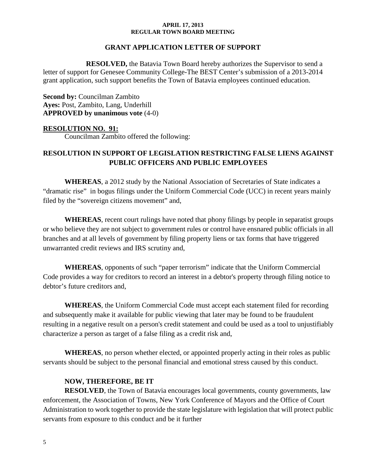### **GRANT APPLICATION LETTER OF SUPPORT**

**RESOLVED,** the Batavia Town Board hereby authorizes the Supervisor to send a letter of support for Genesee Community College-The BEST Center's submission of a 2013-2014 grant application, such support benefits the Town of Batavia employees continued education.

**Second by:** Councilman Zambito **Ayes:** Post, Zambito, Lang, Underhill **APPROVED by unanimous vote** (4-0)

#### **RESOLUTION NO. 91:**

Councilman Zambito offered the following:

# **RESOLUTION IN SUPPORT OF LEGISLATION RESTRICTING FALSE LIENS AGAINST PUBLIC OFFICERS AND PUBLIC EMPLOYEES**

**WHEREAS**, a 2012 study by the National Association of Secretaries of State indicates a "dramatic rise" in bogus filings under the Uniform Commercial Code (UCC) in recent years mainly filed by the "sovereign citizens movement" and,

**WHEREAS**, recent court rulings have noted that phony filings by people in separatist groups or who believe they are not subject to government rules or control have ensnared public officials in all branches and at all levels of government by filing property liens or tax forms that have triggered unwarranted credit reviews and IRS scrutiny and,

**WHEREAS**, opponents of such "paper terrorism" indicate that the Uniform Commercial Code provides a way for creditors to record an interest in a debtor's property through filing notice to debtor's future creditors and,

**WHEREAS**, the Uniform Commercial Code must accept each statement filed for recording and subsequently make it available for public viewing that later may be found to be fraudulent resulting in a negative result on a person's credit statement and could be used as a tool to unjustifiably characterize a person as target of a false filing as a credit risk and,

**WHEREAS**, no person whether elected, or appointed properly acting in their roles as public servants should be subject to the personal financial and emotional stress caused by this conduct.

### **NOW, THEREFORE, BE IT**

**RESOLVED**, the Town of Batavia encourages local governments, county governments, law enforcement, the Association of Towns, New York Conference of Mayors and the Office of Court Administration to work together to provide the state legislature with legislation that will protect public servants from exposure to this conduct and be it further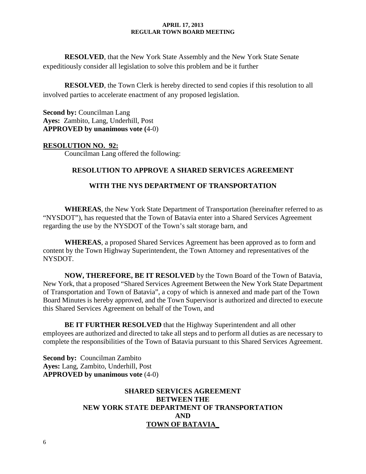**RESOLVED**, that the New York State Assembly and the New York State Senate expeditiously consider all legislation to solve this problem and be it further

**RESOLVED**, the Town Clerk is hereby directed to send copies if this resolution to all involved parties to accelerate enactment of any proposed legislation.

**Second by: Councilman Lang Ayes:** Zambito, Lang, Underhill, Post **APPROVED by unanimous vote (**4-0)

### **RESOLUTION NO. 92:**

Councilman Lang offered the following:

## **RESOLUTION TO APPROVE A SHARED SERVICES AGREEMENT**

## **WITH THE NYS DEPARTMENT OF TRANSPORTATION**

**WHEREAS**, the New York State Department of Transportation (hereinafter referred to as "NYSDOT"), has requested that the Town of Batavia enter into a Shared Services Agreement regarding the use by the NYSDOT of the Town's salt storage barn, and

**WHEREAS**, a proposed Shared Services Agreement has been approved as to form and content by the Town Highway Superintendent, the Town Attorney and representatives of the NYSDOT.

**NOW, THEREFORE, BE IT RESOLVED** by the Town Board of the Town of Batavia, New York, that a proposed "Shared Services Agreement Between the New York State Department of Transportation and Town of Batavia", a copy of which is annexed and made part of the Town Board Minutes is hereby approved, and the Town Supervisor is authorized and directed to execute this Shared Services Agreement on behalf of the Town, and

**BE IT FURTHER RESOLVED** that the Highway Superintendent and all other employees are authorized and directed to take all steps and to perform all duties as are necessary to complete the responsibilities of the Town of Batavia pursuant to this Shared Services Agreement.

**Second by:** Councilman Zambito **Ayes:** Lang, Zambito, Underhill, Post **APPROVED by unanimous vote** (4-0)

# **SHARED SERVICES AGREEMENT BETWEEN THE NEW YORK STATE DEPARTMENT OF TRANSPORTATION AND TOWN OF BATAVIA\_**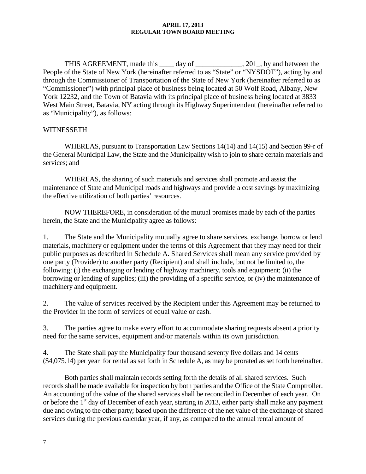THIS AGREEMENT, made this \_\_\_\_ day of \_\_\_\_\_\_\_\_\_\_\_\_, 201, by and between the People of the State of New York (hereinafter referred to as "State" or "NYSDOT"), acting by and through the Commissioner of Transportation of the State of New York (hereinafter referred to as "Commissioner") with principal place of business being located at 50 Wolf Road, Albany, New York 12232, and the Town of Batavia with its principal place of business being located at 3833 West Main Street, Batavia, NY acting through its Highway Superintendent (hereinafter referred to as "Municipality"), as follows:

### **WITNESSETH**

WHEREAS, pursuant to Transportation Law Sections 14(14) and 14(15) and Section 99-r of the General Municipal Law, the State and the Municipality wish to join to share certain materials and services; and

WHEREAS, the sharing of such materials and services shall promote and assist the maintenance of State and Municipal roads and highways and provide a cost savings by maximizing the effective utilization of both parties' resources.

NOW THEREFORE, in consideration of the mutual promises made by each of the parties herein, the State and the Municipality agree as follows:

1. The State and the Municipality mutually agree to share services, exchange, borrow or lend materials, machinery or equipment under the terms of this Agreement that they may need for their public purposes as described in Schedule A. Shared Services shall mean any service provided by one party (Provider) to another party (Recipient) and shall include, but not be limited to, the following: (i) the exchanging or lending of highway machinery, tools and equipment; (ii) the borrowing or lending of supplies; (iii) the providing of a specific service, or (iv) the maintenance of machinery and equipment.

2. The value of services received by the Recipient under this Agreement may be returned to the Provider in the form of services of equal value or cash.

3. The parties agree to make every effort to accommodate sharing requests absent a priority need for the same services, equipment and/or materials within its own jurisdiction.

4. The State shall pay the Municipality four thousand seventy five dollars and 14 cents (\$4,075.14) per year for rental as set forth in Schedule A, as may be prorated as set forth hereinafter.

Both parties shall maintain records setting forth the details of all shared services. Such records shall be made available for inspection by both parties and the Office of the State Comptroller. An accounting of the value of the shared services shall be reconciled in December of each year. On or before the 1<sup>st</sup> day of December of each year, starting in 2013, either party shall make any payment due and owing to the other party; based upon the difference of the net value of the exchange of shared services during the previous calendar year, if any, as compared to the annual rental amount of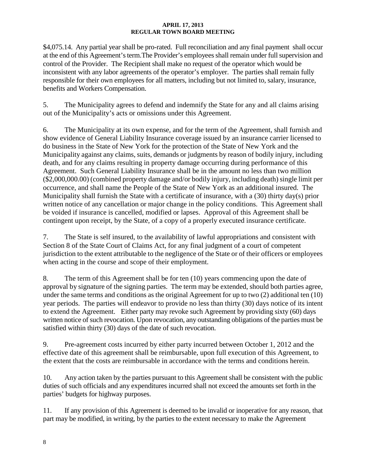\$4,075.14. Any partial year shall be pro-rated. Full reconciliation and any final payment shall occur at the end of this Agreement's term.The Provider's employees shall remain under full supervision and control of the Provider. The Recipient shall make no request of the operator which would be inconsistent with any labor agreements of the operator's employer. The parties shall remain fully responsible for their own employees for all matters, including but not limited to, salary, insurance, benefits and Workers Compensation.

5. The Municipality agrees to defend and indemnify the State for any and all claims arising out of the Municipality's acts or omissions under this Agreement.

6. The Municipality at its own expense, and for the term of the Agreement, shall furnish and show evidence of General Liability Insurance coverage issued by an insurance carrier licensed to do business in the State of New York for the protection of the State of New York and the Municipality against any claims, suits, demands or judgments by reason of bodily injury, including death, and for any claims resulting in property damage occurring during performance of this Agreement. Such General Liability Insurance shall be in the amount no less than two million (\$2,000,000.00) (combined property damage and/or bodily injury, including death) single limit per occurrence, and shall name the People of the State of New York as an additional insured. The Municipality shall furnish the State with a certificate of insurance, with a (30) thirty day(s) prior written notice of any cancellation or major change in the policy conditions. This Agreement shall be voided if insurance is cancelled, modified or lapses. Approval of this Agreement shall be contingent upon receipt, by the State, of a copy of a properly executed insurance certificate.

7. The State is self insured, to the availability of lawful appropriations and consistent with Section 8 of the State Court of Claims Act, for any final judgment of a court of competent jurisdiction to the extent attributable to the negligence of the State or of their officers or employees when acting in the course and scope of their employment.

8. The term of this Agreement shall be for ten (10) years commencing upon the date of approval by signature of the signing parties. The term may be extended, should both parties agree, under the same terms and conditions as the original Agreement for up to two (2) additional ten (10) year periods. The parties will endeavor to provide no less than thirty (30) days notice of its intent to extend the Agreement. Either party may revoke such Agreement by providing sixty (60) days written notice of such revocation. Upon revocation, any outstanding obligations of the parties must be satisfied within thirty (30) days of the date of such revocation.

9. Pre-agreement costs incurred by either party incurred between October 1, 2012 and the effective date of this agreement shall be reimbursable, upon full execution of this Agreement, to the extent that the costs are reimbursable in accordance with the terms and conditions herein.

10. Any action taken by the parties pursuant to this Agreement shall be consistent with the public duties of such officials and any expenditures incurred shall not exceed the amounts set forth in the parties' budgets for highway purposes.

11. If any provision of this Agreement is deemed to be invalid or inoperative for any reason, that part may be modified, in writing, by the parties to the extent necessary to make the Agreement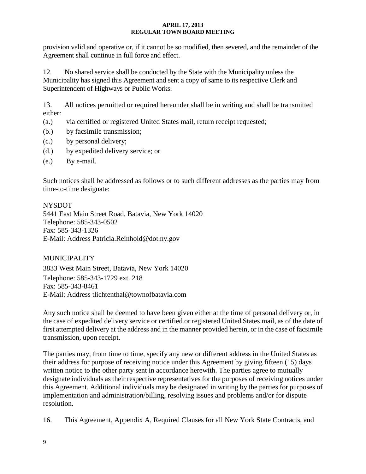provision valid and operative or, if it cannot be so modified, then severed, and the remainder of the Agreement shall continue in full force and effect.

12. No shared service shall be conducted by the State with the Municipality unless the Municipality has signed this Agreement and sent a copy of same to its respective Clerk and Superintendent of Highways or Public Works.

13. All notices permitted or required hereunder shall be in writing and shall be transmitted either:

- (a.) via certified or registered United States mail, return receipt requested;
- (b.) by facsimile transmission;
- (c.) by personal delivery;
- (d.) by expedited delivery service; or
- (e.) By e-mail.

Such notices shall be addressed as follows or to such different addresses as the parties may from time-to-time designate:

NYSDOT 5441 East Main Street Road, Batavia, New York 14020 Telephone: 585-343-0502 Fax: 585-343-1326 E-Mail: Address Patricia.Reinhold@dot.ny.gov

MUNICIPALITY 3833 West Main Street, Batavia, New York 14020 Telephone: 585-343-1729 ext. 218 Fax: 585-343-8461 E-Mail: Address tlichtenthal@townofbatavia.com

Any such notice shall be deemed to have been given either at the time of personal delivery or, in the case of expedited delivery service or certified or registered United States mail, as of the date of first attempted delivery at the address and in the manner provided herein, or in the case of facsimile transmission, upon receipt.

The parties may, from time to time, specify any new or different address in the United States as their address for purpose of receiving notice under this Agreement by giving fifteen (15) days written notice to the other party sent in accordance herewith. The parties agree to mutually designate individuals as their respective representatives for the purposes of receiving notices under this Agreement. Additional individuals may be designated in writing by the parties for purposes of implementation and administration/billing, resolving issues and problems and/or for dispute resolution.

16. This Agreement, Appendix A, Required Clauses for all New York State Contracts, and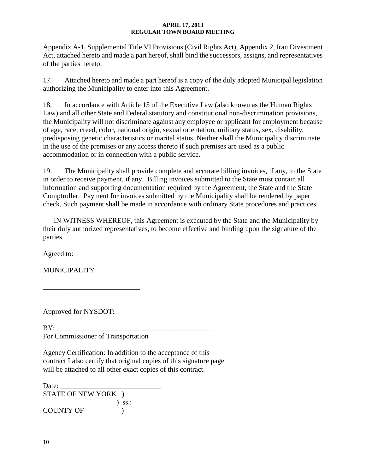Appendix A-1, Supplemental Title VI Provisions (Civil Rights Act), Appendix 2, Iran Divestment Act, attached hereto and made a part hereof, shall bind the successors, assigns, and representatives of the parties hereto.

17. Attached hereto and made a part hereof is a copy of the duly adopted Municipal legislation authorizing the Municipality to enter into this Agreement.

18. In accordance with Article 15 of the Executive Law (also known as the Human Rights Law) and all other State and Federal statutory and constitutional non-discrimination provisions, the Municipality will not discriminate against any employee or applicant for employment because of age, race, creed, color, national origin, sexual orientation, military status, sex, disability, predisposing genetic characteristics or marital status. Neither shall the Municipality discriminate in the use of the premises or any access thereto if such premises are used as a public accommodation or in connection with a public service.

19. The Municipality shall provide complete and accurate billing invoices, if any, to the State in order to receive payment, if any. Billing invoices submitted to the State must contain all information and supporting documentation required by the Agreement, the State and the State Comptroller. Payment for invoices submitted by the Municipality shall be rendered by paper check. Such payment shall be made in accordance with ordinary State procedures and practices.

IN WITNESS WHEREOF, this Agreement is executed by the State and the Municipality by their duly authorized representatives, to become effective and binding upon the signature of the parties.

Agreed to:

MUNICIPALITY

Approved for NYSDOT**:**

 $BY:$ For Commissioner of Transportation

\_\_\_\_\_\_\_\_\_\_\_\_\_\_\_\_\_\_\_\_\_\_\_\_\_\_\_

Agency Certification: In addition to the acceptance of this contract I also certify that original copies of this signature page will be attached to all other exact copies of this contract.

Date: STATE OF NEW YORK ) ) ss.: COUNTY OF  $\qquad$  )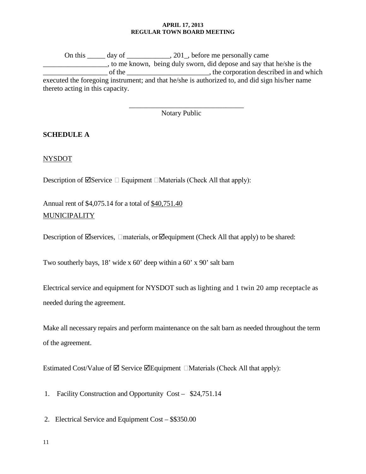On this \_\_\_\_\_ day of \_\_\_\_\_\_\_\_\_\_\_, 201\_, before me personally came \_\_\_\_\_\_\_\_\_\_\_\_\_\_\_\_\_\_, to me known, being duly sworn, did depose and say that he/she is the of the \_\_\_\_\_\_\_\_\_\_\_\_\_\_\_\_\_\_\_\_\_\_\_\_\_\_, the corporation described in and which executed the foregoing instrument; and that he/she is authorized to, and did sign his/her name thereto acting in this capacity.

Notary Public

\_\_\_\_\_\_\_\_\_\_\_\_\_\_\_\_\_\_\_\_\_\_\_\_\_\_\_\_\_\_\_\_

# **SCHEDULE A**

# NYSDOT

Description of  $\Box$ Service  $\Box$  Equipment  $\Box$ Materials (Check All that apply):

Annual rent of \$4,075.14 for a total of \$40,751.40 **MUNICIPALITY** 

Description of  $\Box$  Services,  $\Box$  materials, or  $\Box$  equipment (Check All that apply) to be shared:

Two southerly bays, 18' wide x 60' deep within a 60' x 90' salt barn

Electrical service and equipment for NYSDOT such as lighting and 1 twin 20 amp receptacle as needed during the agreement.

Make all necessary repairs and perform maintenance on the salt barn as needed throughout the term of the agreement.

Estimated Cost/Value of  $\boxtimes$  Service  $\boxtimes$  Equipment  $\Box$ Materials (Check All that apply):

1. Facility Construction and Opportunity Cost – \$24,751.14

2. Electrical Service and Equipment Cost – \$\$350.00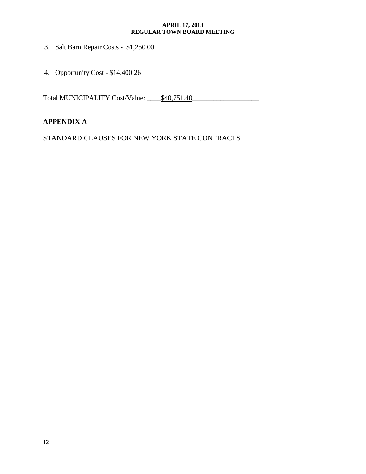- 3. Salt Barn Repair Costs \$1,250.00
- 4. Opportunity Cost \$14,400.26

Total MUNICIPALITY Cost/Value: <u>\$40,751.40</u>

# **APPENDIX A**

STANDARD CLAUSES FOR NEW YORK STATE CONTRACTS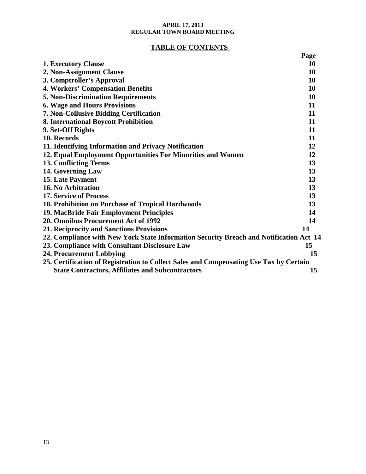# **TABLE OF CONTENTS**

|                                                                                        | Page      |  |
|----------------------------------------------------------------------------------------|-----------|--|
| <b>1. Executory Clause</b>                                                             | <b>10</b> |  |
| 2. Non-Assignment Clause                                                               | 10        |  |
| 3. Comptroller's Approval                                                              | 10        |  |
| <b>4. Workers' Compensation Benefits</b>                                               |           |  |
| <b>5. Non-Discrimination Requirements</b>                                              |           |  |
| <b>6. Wage and Hours Provisions</b>                                                    |           |  |
| 7. Non-Collusive Bidding Certification                                                 |           |  |
| 8. International Boycott Prohibition                                                   |           |  |
| 9. Set-Off Rights                                                                      | 11        |  |
| 10. Records                                                                            | 11        |  |
| 11. Identifying Information and Privacy Notification                                   | 12        |  |
| 12. Equal Employment Opportunities For Minorities and Women                            | 12        |  |
| <b>13. Conflicting Terms</b>                                                           | 13        |  |
| 14. Governing Law                                                                      | 13        |  |
| <b>15. Late Payment</b>                                                                | 13        |  |
| 16. No Arbitration                                                                     | 13        |  |
| 17. Service of Process                                                                 | 13        |  |
| 18. Prohibition on Purchase of Tropical Hardwoods                                      | 13        |  |
| 19. MacBride Fair Employment Principles                                                |           |  |
| 20. Omnibus Procurement Act of 1992                                                    | 14        |  |
| 21. Reciprocity and Sanctions Provisions                                               |           |  |
| 22. Compliance with New York State Information Security Breach and Notification Act 14 |           |  |
| 23. Compliance with Consultant Disclosure Law                                          | 15        |  |
| 24. Procurement Lobbying                                                               |           |  |
| 25. Certification of Registration to Collect Sales and Compensating Use Tax by Certain |           |  |
| <b>State Contractors, Affiliates and Subcontractors</b>                                | 15        |  |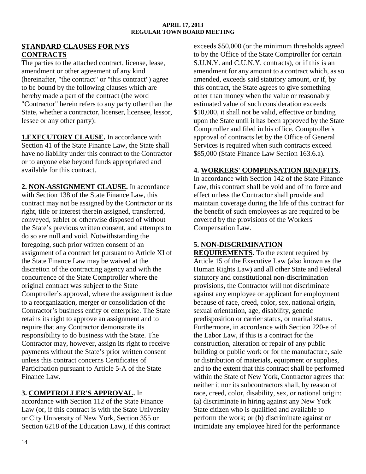### **STANDARD CLAUSES FOR NYS CONTRACTS**

The parties to the attached contract, license, lease, amendment or other agreement of any kind (hereinafter, "the contract" or "this contract") agree to be bound by the following clauses which are hereby made a part of the contract (the word "Contractor" herein refers to any party other than the State, whether a contractor, licenser, licensee, lessor, lessee or any other party):

**1.EXECUTORY CLAUSE.** In accordance with Section 41 of the State Finance Law, the State shall have no liability under this contract to the Contractor or to anyone else beyond funds appropriated and available for this contract.

**2. NON-ASSIGNMENT CLAUSE.** In accordance with Section 138 of the State Finance Law, this contract may not be assigned by the Contractor or its right, title or interest therein assigned, transferred, conveyed, sublet or otherwise disposed of without the State's previous written consent, and attempts to do so are null and void. Notwithstanding the foregoing, such prior written consent of an assignment of a contract let pursuant to Article XI of the State Finance Law may be waived at the discretion of the contracting agency and with the concurrence of the State Comptroller where the original contract was subject to the State Comptroller's approval, where the assignment is due to a reorganization, merger or consolidation of the Contractor's business entity or enterprise. The State retains its right to approve an assignment and to require that any Contractor demonstrate its responsibility to do business with the State. The Contractor may, however, assign its right to receive payments without the State's prior written consent unless this contract concerns Certificates of Participation pursuant to Article 5-A of the State Finance Law.

# **3. COMPTROLLER'S APPROVAL.** In

accordance with Section 112 of the State Finance Law (or, if this contract is with the State University or City University of New York, Section 355 or Section 6218 of the Education Law), if this contract exceeds \$50,000 (or the minimum thresholds agreed to by the Office of the State Comptroller for certain S.U.N.Y. and C.U.N.Y. contracts), or if this is an amendment for any amount to a contract which, as so amended, exceeds said statutory amount, or if, by this contract, the State agrees to give something other than money when the value or reasonably estimated value of such consideration exceeds \$10,000, it shall not be valid, effective or binding upon the State until it has been approved by the State Comptroller and filed in his office. Comptroller's approval of contracts let by the Office of General Services is required when such contracts exceed \$85,000 (State Finance Law Section 163.6.a).

# **4. WORKERS' COMPENSATION BENEFITS.**

In accordance with Section 142 of the State Finance Law, this contract shall be void and of no force and effect unless the Contractor shall provide and maintain coverage during the life of this contract for the benefit of such employees as are required to be covered by the provisions of the Workers' Compensation Law.

# **5. NON-DISCRIMINATION**

**REQUIREMENTS.** To the extent required by Article 15 of the Executive Law (also known as the Human Rights Law) and all other State and Federal statutory and constitutional non-discrimination provisions, the Contractor will not discriminate against any employee or applicant for employment because of race, creed, color, sex, national origin, sexual orientation, age, disability, genetic predisposition or carrier status, or marital status. Furthermore, in accordance with Section 220-e of the Labor Law, if this is a contract for the construction, alteration or repair of any public building or public work or for the manufacture, sale or distribution of materials, equipment or supplies, and to the extent that this contract shall be performed within the State of New York, Contractor agrees that neither it nor its subcontractors shall, by reason of race, creed, color, disability, sex, or national origin: (a) discriminate in hiring against any New York State citizen who is qualified and available to perform the work; or (b) discriminate against or intimidate any employee hired for the performance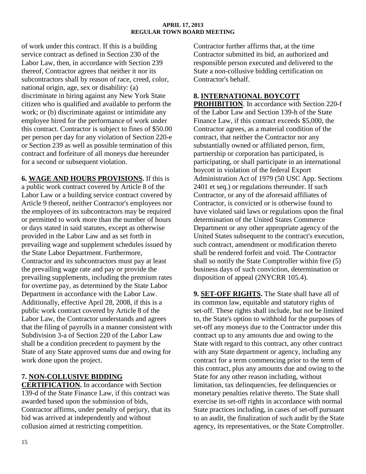of work under this contract. If this is a building service contract as defined in Section 230 of the Labor Law, then, in accordance with Section 239 thereof, Contractor agrees that neither it nor its subcontractors shall by reason of race, creed, color, national origin, age, sex or disability: (a) discriminate in hiring against any New York State citizen who is qualified and available to perform the work; or (b) discriminate against or intimidate any employee hired for the performance of work under this contract. Contractor is subject to fines of \$50.00 per person per day for any violation of Section 220-e or Section 239 as well as possible termination of this contract and forfeiture of all moneys due hereunder for a second or subsequent violation.

**6. WAGE AND HOURS PROVISIONS.** If this is a public work contract covered by Article 8 of the Labor Law or a building service contract covered by Article 9 thereof, neither Contractor's employees nor the employees of its subcontractors may be required or permitted to work more than the number of hours or days stated in said statutes, except as otherwise provided in the Labor Law and as set forth in prevailing wage and supplement schedules issued by the State Labor Department. Furthermore, Contractor and its subcontractors must pay at least the prevailing wage rate and pay or provide the prevailing supplements, including the premium rates for overtime pay, as determined by the State Labor Department in accordance with the Labor Law. Additionally, effective April 28, 2008, if this is a public work contract covered by Article 8 of the Labor Law, the Contractor understands and agrees that the filing of payrolls in a manner consistent with Subdivision 3-a of Section 220 of the Labor Law shall be a condition precedent to payment by the State of any State approved sums due and owing for work done upon the project.

# **7. NON-COLLUSIVE BIDDING**

**CERTIFICATION.** In accordance with Section 139-d of the State Finance Law, if this contract was awarded based upon the submission of bids, Contractor affirms, under penalty of perjury, that its bid was arrived at independently and without collusion aimed at restricting competition.

Contractor further affirms that, at the time Contractor submitted its bid, an authorized and responsible person executed and delivered to the State a non-collusive bidding certification on Contractor's behalf.

# **8. INTERNATIONAL BOYCOTT**

**PROHIBITION**. In accordance with Section 220-f of the Labor Law and Section 139-h of the State Finance Law, if this contract exceeds \$5,000, the Contractor agrees, as a material condition of the contract, that neither the Contractor nor any substantially owned or affiliated person, firm, partnership or corporation has participated, is participating, or shall participate in an international boycott in violation of the federal Export Administration Act of 1979 (50 USC App. Sections 2401 et seq.) or regulations thereunder. If such Contractor, or any of the aforesaid affiliates of Contractor, is convicted or is otherwise found to have violated said laws or regulations upon the final determination of the United States Commerce Department or any other appropriate agency of the United States subsequent to the contract's execution, such contract, amendment or modification thereto shall be rendered forfeit and void. The Contractor shall so notify the State Comptroller within five (5) business days of such conviction, determination or disposition of appeal (2NYCRR 105.4).

**9. SET-OFF RIGHTS.** The State shall have all of its common law, equitable and statutory rights of set-off. These rights shall include, but not be limited to, the State's option to withhold for the purposes of set-off any moneys due to the Contractor under this contract up to any amounts due and owing to the State with regard to this contract, any other contract with any State department or agency, including any contract for a term commencing prior to the term of this contract, plus any amounts due and owing to the State for any other reason including, without limitation, tax delinquencies, fee delinquencies or monetary penalties relative thereto. The State shall exercise its set-off rights in accordance with normal State practices including, in cases of set-off pursuant to an audit, the finalization of such audit by the State agency, its representatives, or the State Comptroller.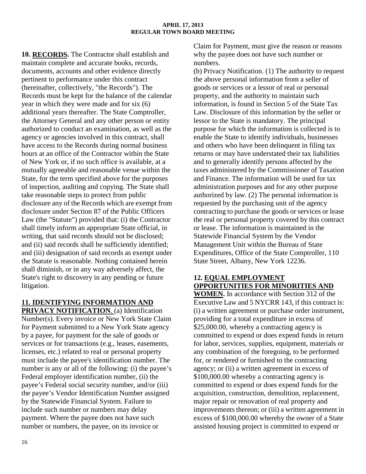**10. RECORDS.** The Contractor shall establish and maintain complete and accurate books, records, documents, accounts and other evidence directly pertinent to performance under this contract (hereinafter, collectively, "the Records"). The Records must be kept for the balance of the calendar year in which they were made and for six (6) additional years thereafter. The State Comptroller, the Attorney General and any other person or entity authorized to conduct an examination, as well as the agency or agencies involved in this contract, shall have access to the Records during normal business hours at an office of the Contractor within the State of New York or, if no such office is available, at a mutually agreeable and reasonable venue within the State, for the term specified above for the purposes of inspection, auditing and copying. The State shall take reasonable steps to protect from public disclosure any of the Records which are exempt from disclosure under Section 87 of the Public Officers Law (the "Statute") provided that: (i) the Contractor shall timely inform an appropriate State official, in writing, that said records should not be disclosed; and (ii) said records shall be sufficiently identified; and (iii) designation of said records as exempt under the Statute is reasonable. Nothing contained herein shall diminish, or in any way adversely affect, the State's right to discovery in any pending or future litigation.

## **11. IDENTIFYING INFORMATION AND PRIVACY NOTIFICATION**. (a) Identification

Number(s). Every invoice or New York State Claim for Payment submitted to a New York State agency by a payee, for payment for the sale of goods or services or for transactions (e.g., leases, easements, licenses, etc.) related to real or personal property must include the payee's identification number. The number is any or all of the following: (i) the payee's Federal employer identification number, (ii) the payee's Federal social security number, and/or (iii) the payee's Vendor Identification Number assigned by the Statewide Financial System. Failure to include such number or numbers may delay payment. Where the payee does not have such number or numbers, the payee, on its invoice or

Claim for Payment, must give the reason or reasons why the payee does not have such number or numbers.

(b) Privacy Notification. (1) The authority to request the above personal information from a seller of goods or services or a lessor of real or personal property, and the authority to maintain such information, is found in Section 5 of the State Tax Law. Disclosure of this information by the seller or lessor to the State is mandatory. The principal purpose for which the information is collected is to enable the State to identify individuals, businesses and others who have been delinquent in filing tax returns or may have understated their tax liabilities and to generally identify persons affected by the taxes administered by the Commissioner of Taxation and Finance. The information will be used for tax administration purposes and for any other purpose authorized by law. (2) The personal information is requested by the purchasing unit of the agency contracting to purchase the goods or services or lease the real or personal property covered by this contract or lease. The information is maintained in the Statewide Financial System by the Vendor Management Unit within the Bureau of State Expenditures, Office of the State Comptroller, 110 State Street, Albany, New York 12236.

# **12. EQUAL EMPLOYMENT OPPORTUNITIES FOR MINORITIES AND**

**WOMEN.** In accordance with Section 312 of the Executive Law and 5 NYCRR 143, if this contract is: (i) a written agreement or purchase order instrument, providing for a total expenditure in excess of \$25,000.00, whereby a contracting agency is committed to expend or does expend funds in return for labor, services, supplies, equipment, materials or any combination of the foregoing, to be performed for, or rendered or furnished to the contracting agency; or (ii) a written agreement in excess of \$100,000.00 whereby a contracting agency is committed to expend or does expend funds for the acquisition, construction, demolition, replacement, major repair or renovation of real property and improvements thereon; or (iii) a written agreement in excess of \$100,000.00 whereby the owner of a State assisted housing project is committed to expend or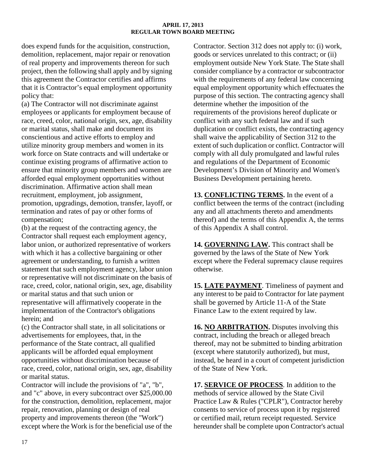does expend funds for the acquisition, construction, demolition, replacement, major repair or renovation of real property and improvements thereon for such project, then the following shall apply and by signing this agreement the Contractor certifies and affirms that it is Contractor's equal employment opportunity policy that:

(a) The Contractor will not discriminate against employees or applicants for employment because of race, creed, color, national origin, sex, age, disability or marital status, shall make and document its conscientious and active efforts to employ and utilize minority group members and women in its work force on State contracts and will undertake or continue existing programs of affirmative action to ensure that minority group members and women are afforded equal employment opportunities without discrimination. Affirmative action shall mean recruitment, employment, job assignment, promotion, upgradings, demotion, transfer, layoff, or termination and rates of pay or other forms of compensation;

(b) at the request of the contracting agency, the Contractor shall request each employment agency, labor union, or authorized representative of workers with which it has a collective bargaining or other agreement or understanding, to furnish a written statement that such employment agency, labor union or representative will not discriminate on the basis of race, creed, color, national origin, sex, age, disability or marital status and that such union or representative will affirmatively cooperate in the implementation of the Contractor's obligations herein; and

(c) the Contractor shall state, in all solicitations or advertisements for employees, that, in the performance of the State contract, all qualified applicants will be afforded equal employment opportunities without discrimination because of race, creed, color, national origin, sex, age, disability or marital status.

Contractor will include the provisions of "a", "b", and "c" above, in every subcontract over \$25,000.00 for the construction, demolition, replacement, major repair, renovation, planning or design of real property and improvements thereon (the "Work") except where the Work is for the beneficial use of the

Contractor. Section 312 does not apply to: (i) work, goods or services unrelated to this contract; or (ii) employment outside New York State. The State shall consider compliance by a contractor or subcontractor with the requirements of any federal law concerning equal employment opportunity which effectuates the purpose of this section. The contracting agency shall determine whether the imposition of the requirements of the provisions hereof duplicate or conflict with any such federal law and if such duplication or conflict exists, the contracting agency shall waive the applicability of Section 312 to the extent of such duplication or conflict. Contractor will comply with all duly promulgated and lawful rules and regulations of the Department of Economic Development's Division of Minority and Women's Business Development pertaining hereto.

**13. CONFLICTING TERMS.** In the event of a conflict between the terms of the contract (including any and all attachments thereto and amendments thereof) and the terms of this Appendix A, the terms of this Appendix A shall control.

14. GOVERNING LAW. This contract shall be governed by the laws of the State of New York except where the Federal supremacy clause requires otherwise.

**15. LATE PAYMENT**. Timeliness of payment and any interest to be paid to Contractor for late payment shall be governed by Article 11-A of the State Finance Law to the extent required by law.

**16. NO ARBITRATION.** Disputes involving this contract, including the breach or alleged breach thereof, may not be submitted to binding arbitration (except where statutorily authorized), but must, instead, be heard in a court of competent jurisdiction of the State of New York.

**17. SERVICE OF PROCESS**. In addition to the methods of service allowed by the State Civil Practice Law & Rules ("CPLR"), Contractor hereby consents to service of process upon it by registered or certified mail, return receipt requested. Service hereunder shall be complete upon Contractor's actual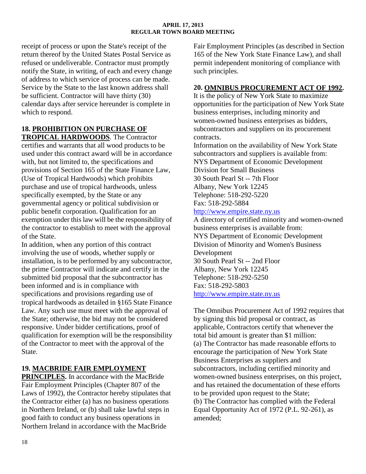receipt of process or upon the State's receipt of the return thereof by the United States Postal Service as refused or undeliverable. Contractor must promptly notify the State, in writing, of each and every change of address to which service of process can be made. Service by the State to the last known address shall be sufficient. Contractor will have thirty (30) calendar days after service hereunder is complete in which to respond.

# **18. PROHIBITION ON PURCHASE OF**

**TROPICAL HARDWOODS** . The Contractor certifies and warrants that all wood products to be used under this contract award will be in accordance with, but not limited to, the specifications and provisions of Section 165 of the State Finance Law, (Use of Tropical Hardwoods) which prohibits purchase and use of tropical hardwoods, unless specifically exempted, by the State or any governmental agency or political subdivision or public benefit corporation. Qualification for an exemption under this law will be the responsibility of the contractor to establish to meet with the approval of the State.

In addition, when any portion of this contract involving the use of woods, whether supply or installation, is to be performed by any subcontractor, the prime Contractor will indicate and certify in the submitted bid proposal that the subcontractor has been informed and is in compliance with specifications and provisions regarding use of tropical hardwoods as detailed in §165 State Finance Law. Any such use must meet with the approval of the State; otherwise, the bid may not be considered responsive. Under bidder certifications, proof of qualification for exemption will be the responsibility of the Contractor to meet with the approval of the State.

# **19. MACBRIDE FAIR EMPLOYMENT**

**PRINCIPLES.** In accordance with the MacBride Fair Employment Principles (Chapter 807 of the Laws of 1992), the Contractor hereby stipulates that the Contractor either (a) has no business operations in Northern Ireland, or (b) shall take lawful steps in good faith to conduct any business operations in Northern Ireland in accordance with the MacBride

Fair Employment Principles (as described in Section 165 of the New York State Finance Law), and shall permit independent monitoring of compliance with such principles.

# **20. OMNIBUS PROCUREMENT ACT OF 1992 .**

It is the policy of New York State to maximize opportunities for the participation of New York State business enterprises, including minority and women-owned business enterprises as bidders, subcontractors and suppliers on its procurement contracts.

Information on the availability of New York State subcontractors and suppliers is available from: NYS Department of Economic Development Division for Small Business 30 South Pearl St -- 7th Floor Albany, New York 12245 Telephone: 518-292-5220 Fax: 518-292-5884 [http://www.empire.state.ny.us](http://www.empire.state.ny.us/) 

A directory of certified minority and women-owned business enterprises is available from: NYS Department of Economic Development Division of Minority and Women's Business Development 30 South Pearl St -- 2nd Floor Albany, New York 12245 Telephone: 518-292-5250 Fax: 518-292-5803 [http://www.empire.state.ny.us](http://www.empire.state.ny.us/) 

The Omnibus Procurement Act of 1992 requires that by signing this bid proposal or contract, as applicable, Contractors certify that whenever the total bid amount is greater than \$1 million: (a) The Contractor has made reasonable efforts to encourage the participation of New York State Business Enterprises as suppliers and subcontractors, including certified minority and women-owned business enterprises, on this project, and has retained the documentation of these efforts to be provided upon request to the State; (b) The Contractor has complied with the Federal Equal Opportunity Act of 1972 (P.L. 92-261), as amended;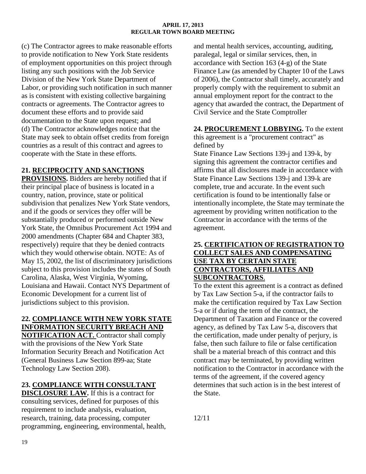(c) The Contractor agrees to make reasonable efforts to provide notification to New York State residents of employment opportunities on this project through listing any such positions with the Job Service Division of the New York State Department of Labor, or providing such notification in such manner as is consistent with existing collective bargaining contracts or agreements. The Contractor agrees to document these efforts and to provide said documentation to the State upon request; and (d) The Contractor acknowledges notice that the State may seek to obtain offset credits from foreign countries as a result of this contract and agrees to cooperate with the State in these efforts.

# **21. RECIPROCITY AND SANCTIONS**

**PROVISIONS.** Bidders are hereby notified that if their principal place of business is located in a country, nation, province, state or political subdivision that penalizes New York State vendors, and if the goods or services they offer will be substantially produced or performed outside New York State, the Omnibus Procurement Act 1994 and 2000 amendments (Chapter 684 and Chapter 383, respectively) require that they be denied contracts which they would otherwise obtain. NOTE: As of May 15, 2002, the list of discriminatory jurisdictions subject to this provision includes the states of South Carolina, Alaska, West Virginia, Wyoming, Louisiana and Hawaii. Contact NYS Department of Economic Development for a current list of jurisdictions subject to this provision.

# **22. COMPLIANCE WITH NEW YORK STATE INFORMATION SECURITY BREACH AND**

**NOTIFICATION ACT.** Contractor shall comply with the provisions of the New York State Information Security Breach and Notification Act (General Business Law Section 899-aa; State Technology Law Section 208).

# **23. COMPLIANCE WITH CONSULTANT**

**DISCLOSURE LAW.** If this is a contract for consulting services, defined for purposes of this requirement to include analysis, evaluation, research, training, data processing, computer programming, engineering, environmental, health, and mental health services, accounting, auditing, paralegal, legal or similar services, then, in accordance with Section 163 (4-g) of the State Finance Law (as amended by Chapter 10 of the Laws of 2006), the Contractor shall timely, accurately and properly comply with the requirement to submit an annual employment report for the contract to the agency that awarded the contract, the Department of Civil Service and the State Comptroller

# **24. PROCUREMENT LOBBYING .** To the extent

this agreement is a "procurement contract" as defined by

State Finance Law Sections 139-j and 139-k, by signing this agreement the contractor certifies and affirms that all disclosures made in accordance with State Finance Law Sections 139-j and 139-k are complete, true and accurate. In the event such certification is found to be intentionally false or intentionally incomplete, the State may terminate the agreement by providing written notification to the Contractor in accordance with the terms of the agreement.

# **25. CERTIFICATION OF REGISTRATION TO COLLECT SALES AND COMPENSATING USE TAX BY CERTAIN STATE CONTRACTORS, AFFILIATES AND SUBCONTRACTORS**.

To the extent this agreement is a contract as defined by Tax Law Section 5-a, if the contractor fails to make the certification required by Tax Law Section 5-a or if during the term of the contract, the Department of Taxation and Finance or the covered agency, as defined by Tax Law 5-a, discovers that the certification, made under penalty of perjury, is false, then such failure to file or false certification shall be a material breach of this contract and this contract may be terminated, by providing written notification to the Contractor in accordance with the terms of the agreement, if the covered agency determines that such action is in the best interest of the State.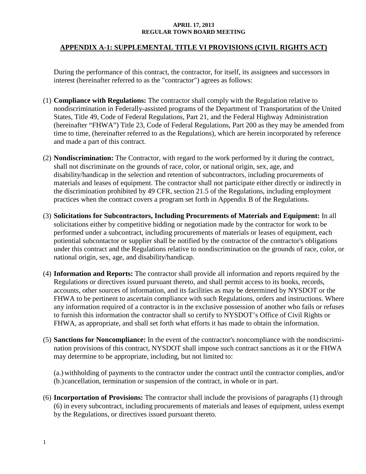# **APPENDIX A-1: SUPPLEMENTAL TITLE VI PROVISIONS (CIVIL RIGHTS ACT)**

During the performance of this contract, the contractor, for itself, its assignees and successors in interest (hereinafter referred to as the "contractor") agrees as follows:

- (1) **Compliance with Regulations:** The contractor shall comply with the Regulation relative to nondiscrimination in Federally-assisted programs of the Department of Transportation of the United States, Title 49, Code of Federal Regulations, Part 21, and the Federal Highway Administration (hereinafter "FHWA") Title 23, Code of Federal Regulations, Part 200 as they may be amended from time to time, (hereinafter referred to as the Regulations), which are herein incorporated by reference and made a part of this contract.
- (2) **Nondiscrimination:** The Contractor, with regard to the work performed by it during the contract, shall not discriminate on the grounds of race, color, or national origin, sex, age, and disability/handicap in the selection and retention of subcontractors, including procurements of materials and leases of equipment. The contractor shall not participate either directly or indirectly in the discrimination prohibited by 49 CFR, section 21.5 of the Regulations, including employment practices when the contract covers a program set forth in Appendix B of the Regulations.
- (3) **Solicitations for Subcontractors, Including Procurements of Materials and Equipment:** In all solicitations either by competitive bidding or negotiation made by the contractor for work to be performed under a subcontract, including procurements of materials or leases of equipment, each potiential subcontactor or supplier shall be notified by the contractor of the contractor's obligations under this contract and the Regulations relative to nondiscrimination on the grounds of race, color, or national origin, sex, age, and disability/handicap.
- (4) **Information and Reports:** The contractor shall provide all information and reports required by the Regulations or directives issued pursuant thereto, and shall permit access to its books, records, accounts, other sources of information, and its facilities as may be determined by NYSDOT or the FHWA to be pertinent to ascertain compliance with such Regulations, orders and instructions. Where any information required of a contractor is in the exclusive possession of another who fails or refuses to furnish this information the contractor shall so certify to NYSDOT's Office of Civil Rights or FHWA, as appropriate, and shall set forth what efforts it has made to obtain the information.
- (5) **Sanctions for Noncompliance:** In the event of the contractor's noncompliance with the nondiscrimination provisions of this contract, NYSDOT shall impose such contract sanctions as it or the FHWA may determine to be appropriate, including, but not limited to:

(a.) withholding of payments to the contractor under the contract until the contractor complies, and/or (b.)cancellation, termination or suspension of the contract, in whole or in part.

(6) **Incorportation of Provisions:** The contractor shall include the provisions of paragraphs (1) through (6) in every subcontract, including procurements of materials and leases of equipment, unless exempt by the Regulations, or directives issued pursuant thereto.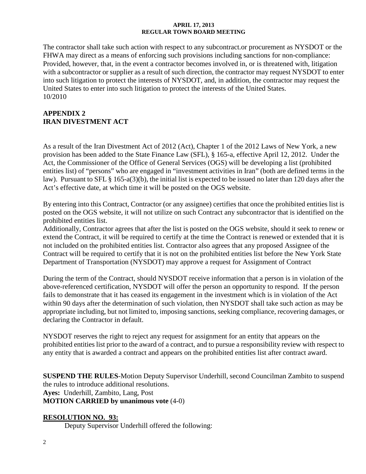The contractor shall take such action with respect to any subcontract.or procurement as NYSDOT or the FHWA may direct as a means of enforcing such provisions including sanctions for non-compliance: Provided, however, that, in the event a contractor becomes involved in, or is threatened with, litigation with a subcontractor or supplier as a result of such direction, the contractor may request NYSDOT to enter into such litigation to protect the interests of NYSDOT, and, in addition, the contractor may request the United States to enter into such litigation to protect the interests of the United States. 10/2010

# **APPENDIX 2 IRAN DIVESTMENT ACT**

As a result of the Iran Divestment Act of 2012 (Act), Chapter 1 of the 2012 Laws of New York, a new provision has been added to the State Finance Law (SFL), § 165-a, effective April 12, 2012. Under the Act, the Commissioner of the Office of General Services (OGS) will be developing a list (prohibited entities list) of "persons" who are engaged in "investment activities in Iran" (both are defined terms in the law). Pursuant to SFL § 165-a(3)(b), the initial list is expected to be issued no later than 120 days after the Act's effective date, at which time it will be posted on the OGS website.

By entering into this Contract, Contractor (or any assignee) certifies that once the prohibited entities list is posted on the OGS website, it will not utilize on such Contract any subcontractor that is identified on the prohibited entities list.

Additionally, Contractor agrees that after the list is posted on the OGS website, should it seek to renew or extend the Contract, it will be required to certify at the time the Contract is renewed or extended that it is not included on the prohibited entities list. Contractor also agrees that any proposed Assignee of the Contract will be required to certify that it is not on the prohibited entities list before the New York State Department of Transportation (NYSDOT) may approve a request for Assignment of Contract

During the term of the Contract, should NYSDOT receive information that a person is in violation of the above-referenced certification, NYSDOT will offer the person an opportunity to respond. If the person fails to demonstrate that it has ceased its engagement in the investment which is in violation of the Act within 90 days after the determination of such violation, then NYSDOT shall take such action as may be appropriate including, but not limited to, imposing sanctions, seeking compliance, recovering damages, or declaring the Contractor in default.

NYSDOT reserves the right to reject any request for assignment for an entity that appears on the prohibited entities list prior to the award of a contract, and to pursue a responsibility review with respect to any entity that is awarded a contract and appears on the prohibited entities list after contract award.

**SUSPEND THE RULES**-Motion Deputy Supervisor Underhill, second Councilman Zambito to suspend the rules to introduce additional resolutions. **Ayes:** Underhill, Zambito, Lang, Post **MOTION CARRIED by unanimous vote** (4-0)

# **RESOLUTION NO. 93:**

Deputy Supervisor Underhill offered the following: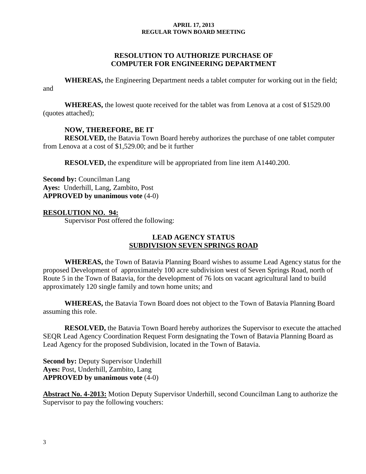## **RESOLUTION TO AUTHORIZE PURCHASE OF COMPUTER FOR ENGINEERING DEPARTMENT**

**WHEREAS,** the Engineering Department needs a tablet computer for working out in the field; and

**WHEREAS,** the lowest quote received for the tablet was from Lenova at a cost of \$1529.00 (quotes attached);

## **NOW, THEREFORE, BE IT**

**RESOLVED,** the Batavia Town Board hereby authorizes the purchase of one tablet computer from Lenova at a cost of \$1,529.00; and be it further

**RESOLVED,** the expenditure will be appropriated from line item A1440.200.

**Second by: Councilman Lang Ayes:** Underhill, Lang, Zambito, Post **APPROVED by unanimous vote** (4-0)

## **RESOLUTION NO. 94:**

Supervisor Post offered the following:

### **LEAD AGENCY STATUS SUBDIVISION SEVEN SPRINGS ROAD**

**WHEREAS,** the Town of Batavia Planning Board wishes to assume Lead Agency status for the proposed Development of approximately 100 acre subdivision west of Seven Springs Road, north of Route 5 in the Town of Batavia, for the development of 76 lots on vacant agricultural land to build approximately 120 single family and town home units; and

**WHEREAS,** the Batavia Town Board does not object to the Town of Batavia Planning Board assuming this role.

**RESOLVED,** the Batavia Town Board hereby authorizes the Supervisor to execute the attached SEQR Lead Agency Coordination Request Form designating the Town of Batavia Planning Board as Lead Agency for the proposed Subdivision, located in the Town of Batavia.

**Second by:** Deputy Supervisor Underhill **Ayes:** Post, Underhill, Zambito, Lang **APPROVED by unanimous vote** (4-0)

**Abstract No. 4-2013:** Motion Deputy Supervisor Underhill, second Councilman Lang to authorize the Supervisor to pay the following vouchers: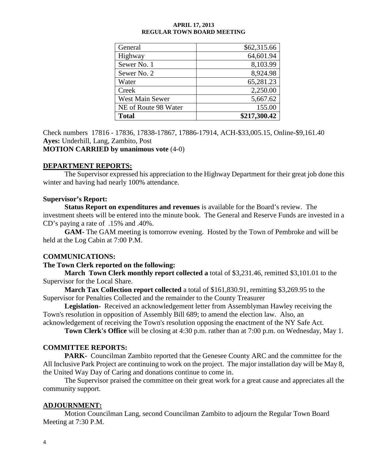| General                | \$62,315.66  |
|------------------------|--------------|
| Highway                | 64,601.94    |
| Sewer No. 1            | 8,103.99     |
| Sewer No. 2            | 8,924.98     |
| Water                  | 65,281.23    |
| Creek                  | 2,250.00     |
| <b>West Main Sewer</b> | 5,667.62     |
| NE of Route 98 Water   | 155.00       |
| <b>Total</b>           | \$217,300.42 |

Check numbers 17816 - 17836, 17838-17867, 17886-17914, ACH-\$33,005.15, Online-\$9,161.40 **Ayes:** Underhill, Lang, Zambito, Post **MOTION CARRIED by unanimous vote** (4-0)

# **DEPARTMENT REPORTS:**

The Supervisor expressed his appreciation to the Highway Department for their great job done this winter and having had nearly 100% attendance.

### **Supervisor's Report:**

**Status Report on expenditures and revenues** is available for the Board's review. The investment sheets will be entered into the minute book. The General and Reserve Funds are invested in a CD's paying a rate of .15% and .40%.

**GAM-** The GAM meeting is tomorrow evening. Hosted by the Town of Pembroke and will be held at the Log Cabin at 7:00 P.M.

### **COMMUNICATIONS:**

### **The Town Clerk reported on the following:**

**March Town Clerk monthly report collected a** total of \$3,231.46, remitted \$3,101.01 to the Supervisor for the Local Share.

**March Tax Collection report collected** a total of \$161,830.91, remitting \$3,269.95 to the Supervisor for Penalties Collected and the remainder to the County Treasurer

**Legislation-** Received an acknowledgement letter from Assemblyman Hawley receiving the Town's resolution in opposition of Assembly Bill 689; to amend the election law. Also, an

acknowledgement of receiving the Town's resolution opposing the enactment of the NY Safe Act.

**Town Clerk's Office** will be closing at 4:30 p.m. rather than at 7:00 p.m. on Wednesday, May 1.

### **COMMITTEE REPORTS:**

**PARK-** Councilman Zambito reported that the Genesee County ARC and the committee for the All Inclusive Park Project are continuing to work on the project. The major installation day will be May 8, the United Way Day of Caring and donations continue to come in.

The Supervisor praised the committee on their great work for a great cause and appreciates all the community support.

### **ADJOURNMENT:**

Motion Councilman Lang, second Councilman Zambito to adjourn the Regular Town Board Meeting at 7:30 P.M.